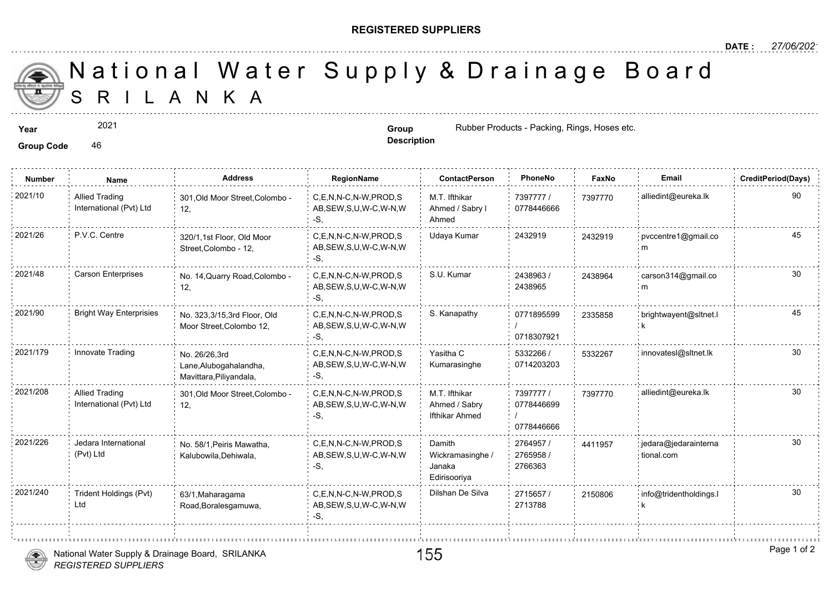## **REGISTERED SUPPLIERS**

 S R I L A N K A National Water Supply & Drainage

2021

Group Code 46

**Description**

**Year Group Group Group Group Group Group Group Group Rubber Products - Packing, Rings, Hose** 

| <b>Number</b> | Name                                             | <b>Address</b>                                                     | RegionName                                                | <b>ContactPerson</b>                                 | PhoneNo                               | Faxl   |
|---------------|--------------------------------------------------|--------------------------------------------------------------------|-----------------------------------------------------------|------------------------------------------------------|---------------------------------------|--------|
| 2021/10       | <b>Allied Trading</b><br>International (Pvt) Ltd | 301, Old Moor Street, Colombo -<br>12,                             | C,E,N,N-C,N-W,PROD,S<br>AB, SEW, S, U, W-C, W-N, W<br>-S. | M.T. Ifthikar<br>Ahmed / Sabry I<br>Ahmed            | 7397777 /<br>0778446666               | 739777 |
| 2021/26       | P.V.C. Centre                                    | 320/1.1st Floor, Old Moor<br>Street, Colombo - 12,                 | C,E,N,N-C,N-W,PROD,S<br>AB, SEW, S, U, W-C, W-N, W<br>-S. | Udaya Kumar                                          | 2432919                               | 243291 |
| 2021/48       | <b>Carson Enterprises</b>                        | No. 14, Quarry Road, Colombo -<br>12,                              | C,E,N,N-C,N-W,PROD,S<br>AB, SEW, S, U, W-C, W-N, W<br>-S. | S.U. Kumar                                           | 2438963/<br>2438965                   | 243896 |
| 2021/90       | <b>Bright Way Enterprisies</b>                   | No. 323,3/15,3rd Floor, Old<br>Moor Street, Colombo 12,            | C,E,N,N-C,N-W,PROD,S<br>AB, SEW, S, U, W-C, W-N, W<br>-S, | S. Kanapathy                                         | 0771895599<br>0718307921              | 233585 |
| 2021/179      | Innovate Trading                                 | No. 26/26,3rd<br>Lane, Alubogahalandha,<br>Mavittara, Piliyandala, | C.E.N.N-C.N-W.PROD.S<br>AB, SEW, S, U, W-C, W-N, W<br>-S, | Yasitha C<br>Kumarasinghe                            | 5332266 /<br>0714203203               | 533226 |
| 2021/208      | <b>Allied Trading</b><br>International (Pvt) Ltd | 301, Old Moor Street, Colombo -<br>12,                             | C.E.N.N-C.N-W.PROD.S<br>AB, SEW, S, U, W-C, W-N, W<br>-S, | M.T. Ifthikar<br>Ahmed / Sabry<br>Ifthikar Ahmed     | 7397777 /<br>0778446699<br>0778446666 | 739777 |
| 2021/226      | Jedara International<br>(Pvt) Ltd                | No. 58/1, Peiris Mawatha,<br>Kalubowila, Dehiwala,                 | C.E.N.N-C.N-W.PROD.S<br>AB, SEW, S, U, W-C, W-N, W<br>-S. | Damith<br>Wickramasinghe /<br>Janaka<br>Edirisooriya | 2764957 /<br>2765958 /<br>2766363     | 441195 |
| 2021/240      | Trident Holdings (Pvt)<br>Ltd                    | 63/1, Maharagama<br>Road, Boralesgamuwa,                           | C,E,N,N-C,N-W,PROD,S<br>AB, SEW, S, U, W-C, W-N, W<br>-S, | Dilshan De Silva                                     | 2715657<br>2713788                    | 215080 |